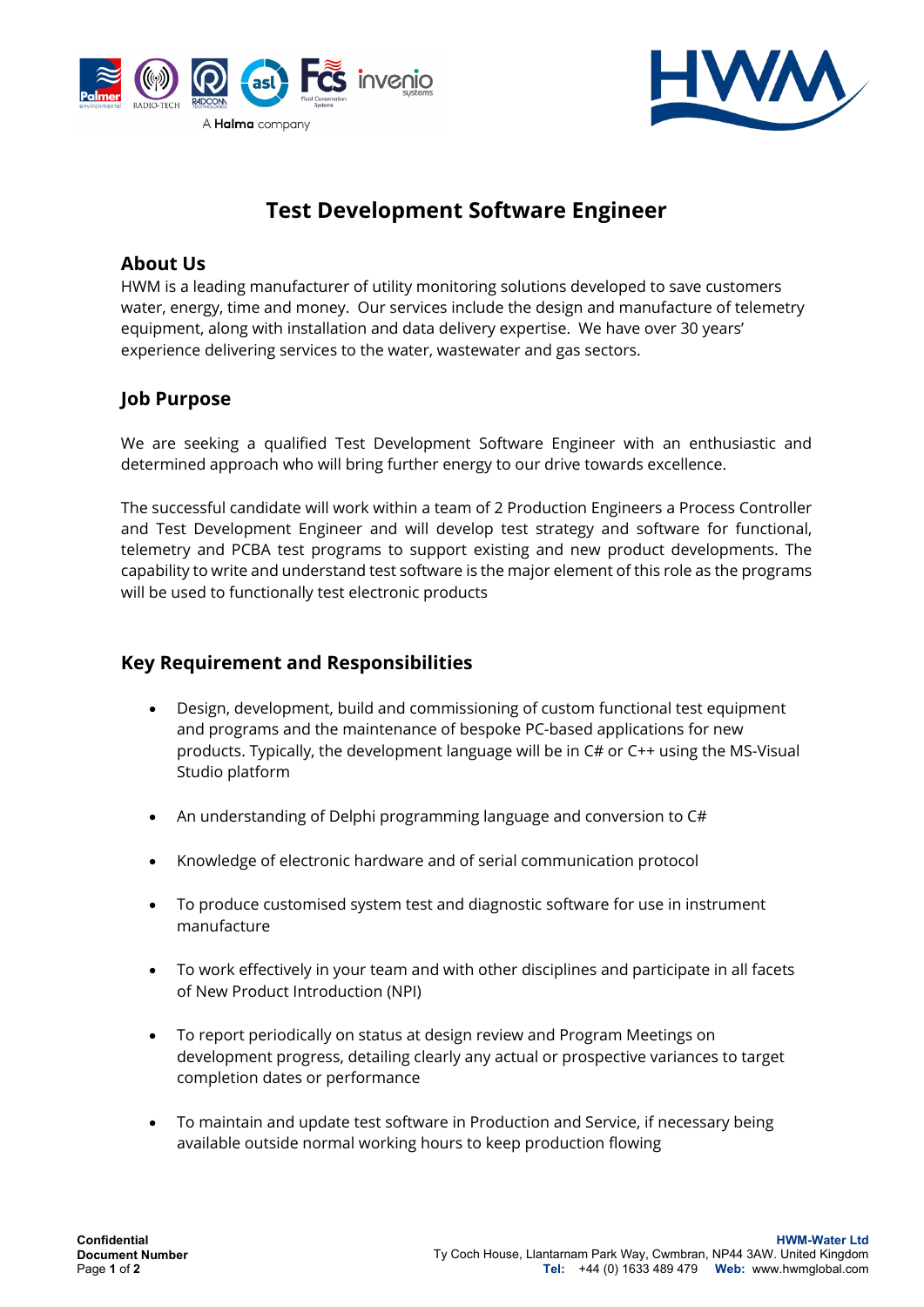



# **Test Development Software Engineer**

#### **About Us**

HWM is a leading manufacturer of utility monitoring solutions developed to save customers water, energy, time and money. Our services include the design and manufacture of telemetry equipment, along with installation and data delivery expertise. We have over 30 years' experience delivering services to the water, wastewater and gas sectors.

## **Job Purpose**

We are seeking a qualified Test Development Software Engineer with an enthusiastic and determined approach who will bring further energy to our drive towards excellence.

The successful candidate will work within a team of 2 Production Engineers a Process Controller and Test Development Engineer and will develop test strategy and software for functional, telemetry and PCBA test programs to support existing and new product developments. The capability to write and understand test software is the major element of this role as the programs will be used to functionally test electronic products

### **Key Requirement and Responsibilities**

- Design, development, build and commissioning of custom functional test equipment and programs and the maintenance of bespoke PC-based applications for new products. Typically, the development language will be in C# or C++ using the MS-Visual Studio platform
- An understanding of Delphi programming language and conversion to C#
- Knowledge of electronic hardware and of serial communication protocol
- To produce customised system test and diagnostic software for use in instrument manufacture
- To work effectively in your team and with other disciplines and participate in all facets of New Product Introduction (NPI)
- To report periodically on status at design review and Program Meetings on development progress, detailing clearly any actual or prospective variances to target completion dates or performance
- To maintain and update test software in Production and Service, if necessary being available outside normal working hours to keep production flowing